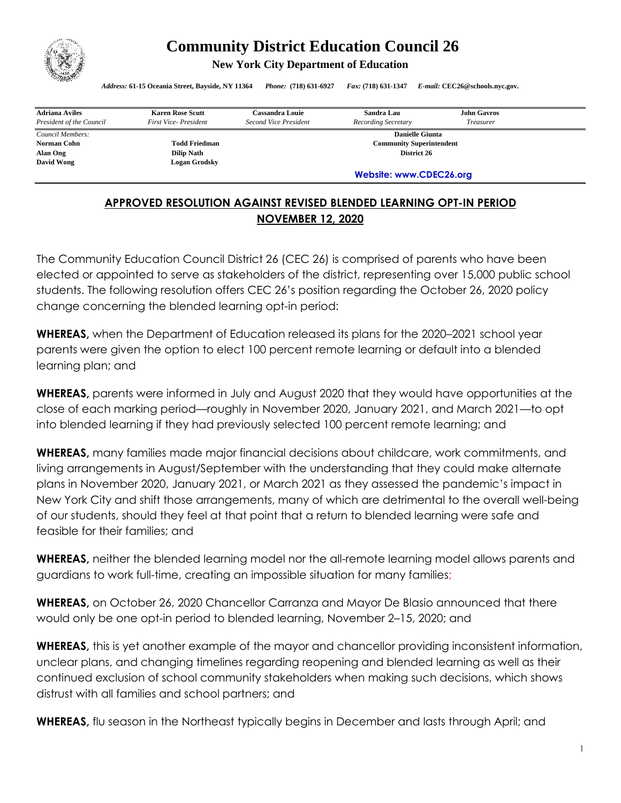

## **Community District Education Council 26**

**New York City Department of Education** 

*Address:* **61-15 Oceania Street, Bayside, NY 11364** *Phone:* **(718) 631-6927** *Fax:* **(718) 631-1347** *E-mail:* **CEC26@schools.nyc.gov.**

| <b>Adriana Aviles</b>    | <b>Karen Rose Scutt</b>     | <b>Cassandra Louie</b>          | Sandra Lau          | <b>John Gavros</b> |  |
|--------------------------|-----------------------------|---------------------------------|---------------------|--------------------|--|
| President of the Council | <b>First Vice-President</b> | Second Vice President           | Recording Secretary | Treasurer          |  |
| Council Members:         |                             | <b>Danielle Giunta</b>          |                     |                    |  |
| Norman Cohn              | <b>Todd Friedman</b>        | <b>Community Superintendent</b> |                     |                    |  |
| Alan Ong                 | <b>Dilip Nath</b>           | District 26                     |                     |                    |  |
| David Wong               | Logan Grodskv               |                                 |                     |                    |  |
|                          |                             | Website: www.CDEC26.org         |                     |                    |  |

## **APPROVED RESOLUTION AGAINST REVISED BLENDED LEARNING OPT-IN PERIOD NOVEMBER 12, 2020**

The Community Education Council District 26 (CEC 26) is comprised of parents who have been elected or appointed to serve as stakeholders of the district, representing over 15,000 public school students. The following resolution offers CEC 26's position regarding the October 26, 2020 policy change concerning the blended learning opt-in period:

**WHEREAS,** when the Department of Education released its plans for the 2020–2021 school year parents were given the option to elect 100 percent remote learning or default into a blended learning plan; and

**WHEREAS,** parents were informed in July and August 2020 that they would have opportunities at the close of each marking period—roughly in November 2020, January 2021, and March 2021—to opt into blended learning if they had previously selected 100 percent remote learning; and

**WHEREAS,** many families made major financial decisions about childcare, work commitments, and living arrangements in August/September with the understanding that they could make alternate plans in November 2020, January 2021, or March 2021 as they assessed the pandemic's impact in New York City and shift those arrangements, many of which are detrimental to the overall well-being of our students, should they feel at that point that a return to blended learning were safe and feasible for their families; and

**WHEREAS,** neither the blended learning model nor the all-remote learning model allows parents and guardians to work full-time, creating an impossible situation for many families;

**WHEREAS,** on October 26, 2020 Chancellor Carranza and Mayor De Blasio announced that there would only be one opt-in period to blended learning, November 2–15, 2020; and

**WHEREAS,** this is yet another example of the mayor and chancellor providing inconsistent information, unclear plans, and changing timelines regarding reopening and blended learning as well as their continued exclusion of school community stakeholders when making such decisions, which shows distrust with all families and school partners; and

**WHEREAS,** flu season in the Northeast typically begins in December and lasts through April; and